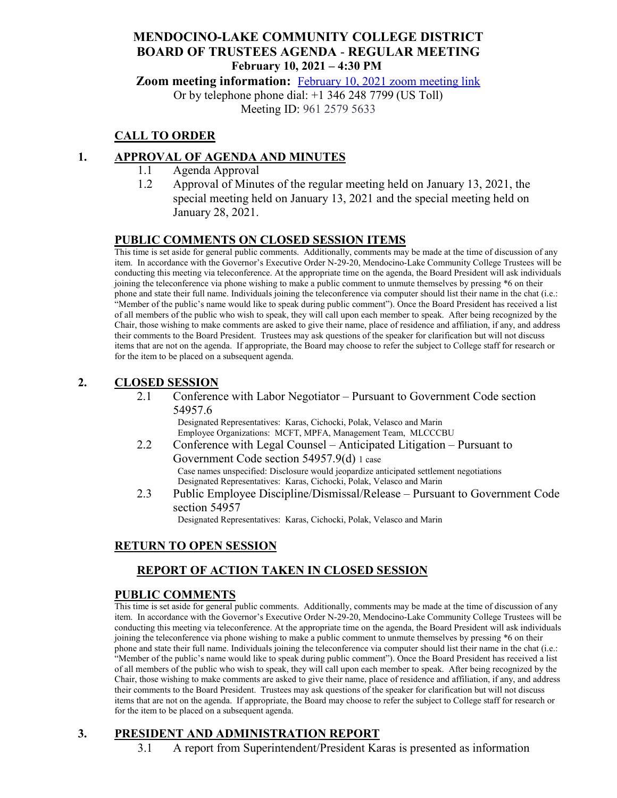## **MENDOCINO-LAKE COMMUNITY COLLEGE DISTRICT BOARD OF TRUSTEES AGENDA** - **REGULAR MEETING February 10, 2021 – 4:30 PM**

**Zoom meeting information:** February 10, 2021 [zoom meeting link](https://cccconfer.zoom.us/s/96125795633)

Or by telephone phone dial: +1 346 248 7799 (US Toll)

Meeting ID: 961 2579 5633

# **CALL TO ORDER**

## **1. APPROVAL OF AGENDA AND MINUTES**

- 1.1 Agenda Approval
- 1.2 Approval of Minutes of the regular meeting held on January 13, 2021, the special meeting held on January 13, 2021 and the special meeting held on January 28, 2021.

#### **PUBLIC COMMENTS ON CLOSED SESSION ITEMS**

This time is set aside for general public comments. Additionally, comments may be made at the time of discussion of any item. In accordance with the Governor's Executive Order N-29-20, Mendocino-Lake Community College Trustees will be conducting this meeting via teleconference. At the appropriate time on the agenda, the Board President will ask individuals joining the teleconference via phone wishing to make a public comment to unmute themselves by pressing \*6 on their phone and state their full name. Individuals joining the teleconference via computer should list their name in the chat (i.e.: "Member of the public's name would like to speak during public comment"). Once the Board President has received a list of all members of the public who wish to speak, they will call upon each member to speak. After being recognized by the Chair, those wishing to make comments are asked to give their name, place of residence and affiliation, if any, and address their comments to the Board President. Trustees may ask questions of the speaker for clarification but will not discuss items that are not on the agenda. If appropriate, the Board may choose to refer the subject to College staff for research or for the item to be placed on a subsequent agenda.

#### **2. CLOSED SESSION**

2.1 Conference with Labor Negotiator – Pursuant to Government Code section 54957.6

Designated Representatives: Karas, Cichocki, Polak, Velasco and Marin Employee Organizations: MCFT, MPFA, Management Team, MLCCCBU

- 2.2 Conference with Legal Counsel Anticipated Litigation Pursuant to Government Code section 54957.9(d) 1 case Case names unspecified: Disclosure would jeopardize anticipated settlement negotiations Designated Representatives: Karas, Cichocki, Polak, Velasco and Marin
- 2.3 Public Employee Discipline/Dismissal/Release Pursuant to Government Code section 54957

Designated Representatives: Karas, Cichocki, Polak, Velasco and Marin

## **RETURN TO OPEN SESSION**

# **REPORT OF ACTION TAKEN IN CLOSED SESSION**

#### **PUBLIC COMMENTS**

This time is set aside for general public comments. Additionally, comments may be made at the time of discussion of any item. In accordance with the Governor's Executive Order N-29-20, Mendocino-Lake Community College Trustees will be conducting this meeting via teleconference. At the appropriate time on the agenda, the Board President will ask individuals joining the teleconference via phone wishing to make a public comment to unmute themselves by pressing \*6 on their phone and state their full name. Individuals joining the teleconference via computer should list their name in the chat (i.e.: "Member of the public's name would like to speak during public comment"). Once the Board President has received a list of all members of the public who wish to speak, they will call upon each member to speak. After being recognized by the Chair, those wishing to make comments are asked to give their name, place of residence and affiliation, if any, and address their comments to the Board President. Trustees may ask questions of the speaker for clarification but will not discuss items that are not on the agenda. If appropriate, the Board may choose to refer the subject to College staff for research or for the item to be placed on a subsequent agenda.

## **3. PRESIDENT AND ADMINISTRATION REPORT**

3.1 A report from Superintendent/President Karas is presented as information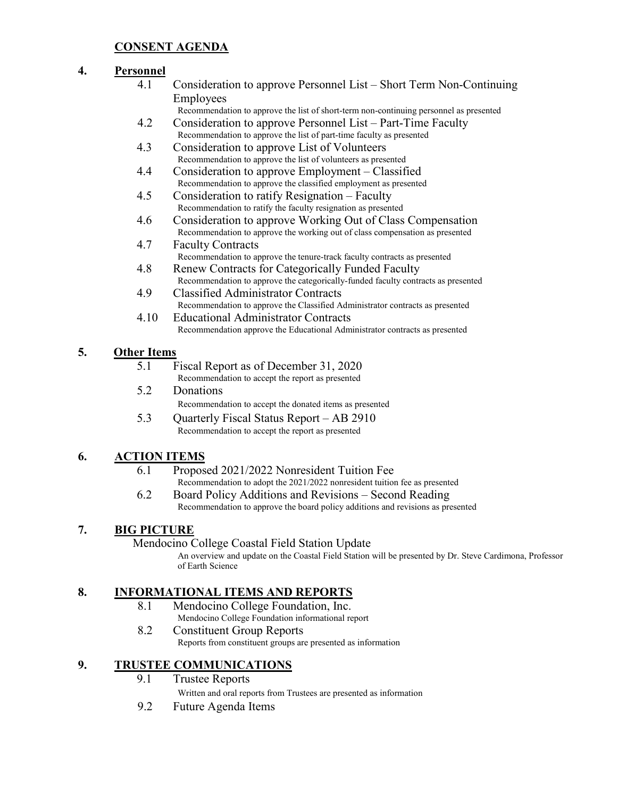## **CONSENT AGENDA**

#### **4. Personnel**

- 4.1 Consideration to approve Personnel List Short Term Non-Continuing Employees
	- Recommendation to approve the list of short-term non-continuing personnel as presented
- 4.2 Consideration to approve Personnel List Part-Time Faculty Recommendation to approve the list of part-time faculty as presented
- 4.3 Consideration to approve List of Volunteers Recommendation to approve the list of volunteers as presented
- 4.4 Consideration to approve Employment Classified Recommendation to approve the classified employment as presented
- 4.5 Consideration to ratify Resignation Faculty Recommendation to ratify the faculty resignation as presented
- 4.6 Consideration to approve Working Out of Class Compensation Recommendation to approve the working out of class compensation as presented
- 4.7 Faculty Contracts Recommendation to approve the tenure-track faculty contracts as presented
- 4.8 Renew Contracts for Categorically Funded Faculty Recommendation to approve the categorically-funded faculty contracts as presented
- 4.9 Classified Administrator Contracts Recommendation to approve the Classified Administrator contracts as presented
- 4.10 Educational Administrator Contracts Recommendation approve the Educational Administrator contracts as presented

#### **5. Other Items**

- 5.1 Fiscal Report as of December 31, 2020 Recommendation to accept the report as presented
- 5.2 Donations Recommendation to accept the donated items as presented
- 5.3 Quarterly Fiscal Status Report AB 2910 Recommendation to accept the report as presented

## **6. ACTION ITEMS**

- 6.1 Proposed 2021/2022 Nonresident Tuition Fee
- Recommendation to adopt the 2021/2022 nonresident tuition fee as presented 6.2 Board Policy Additions and Revisions – Second Reading
- Recommendation to approve the board policy additions and revisions as presented

#### **7. BIG PICTURE**

Mendocino College Coastal Field Station Update

An overview and update on the Coastal Field Station will be presented by Dr. Steve Cardimona, Professor of Earth Science

#### **8. INFORMATIONAL ITEMS AND REPORTS**

- 8.1 Mendocino College Foundation, Inc.
- Mendocino College Foundation informational report 8.2 Constituent Group Reports

Reports from constituent groups are presented as information

# **9. TRUSTEE COMMUNICATIONS**

- 9.1 Trustee Reports Written and oral reports from Trustees are presented as information
- 9.2 Future Agenda Items